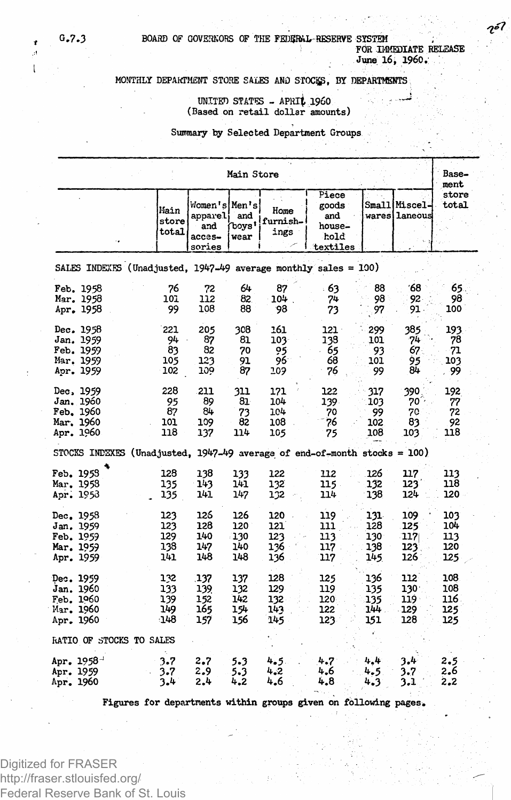**G.7.3 BOARD OF GOVERNORS OF THE FEDIJRftL-RESERVE SYSTEM , FOR IMMEDIATE RELEASE**

**June 16, I960.**

### **MONTHLY DEPARTMENT STORE SALES AND STOCi^, BY DEPARTMENTS**

# **UNITED STATES - APRli I960 , . (Based on retail dollar amounts)**

#### **Summary by Selected Department Groups**

| Main Store                                                                  |                        |                                                     |                      |                          |                                                     |     |                                 |                |  |  |  |  |
|-----------------------------------------------------------------------------|------------------------|-----------------------------------------------------|----------------------|--------------------------|-----------------------------------------------------|-----|---------------------------------|----------------|--|--|--|--|
|                                                                             | Main<br>store<br>total | Women's Men's<br>apparel<br>and<br>acces-<br>sories | and<br>"boys<br>wear | Home<br>furnish-<br>ings | Piece<br>goods<br>and<br>house-<br>hold<br>textiles |     | Small Miscel-<br>wares  laneous | store<br>total |  |  |  |  |
| SALES INDEXES (Unadjusted, $1947-49$ average monthly sales = 100)           |                        |                                                     |                      |                          |                                                     |     |                                 |                |  |  |  |  |
| Feb. 1958                                                                   | 76                     | 72                                                  | 64                   | 87                       | - 63                                                | 88  | ΄68                             | 65.            |  |  |  |  |
| Mar. 1958                                                                   | 101                    | 112                                                 | 82.                  | 104                      | 74                                                  | 98  | 92.                             | 98             |  |  |  |  |
| Apr. 1958                                                                   | 99                     | 108                                                 | 88                   | 98                       | 73                                                  | 97  | 91.                             | 100            |  |  |  |  |
| Dec. 1958                                                                   | 221                    | 205                                                 | 308                  | 161                      | 121 -                                               | 299 | 385                             | 193            |  |  |  |  |
| Jan. 1959                                                                   | 94                     | 87                                                  | 81                   | 103.                     | 138                                                 | 101 | 74                              | 78             |  |  |  |  |
| Feb. 1959                                                                   | 83                     | 82                                                  | 70                   | 95                       | 65                                                  | 93  | 67.                             | 71             |  |  |  |  |
| Mar. 1959                                                                   | 105                    | 123                                                 | 91                   | 96                       | 68                                                  | 101 | 95                              | 103            |  |  |  |  |
| Apr. 1959                                                                   | 102                    | 109                                                 | 87                   | 209                      | 76                                                  | 99  | 84                              | 99             |  |  |  |  |
| Dec, 1959                                                                   | 228                    | 211                                                 | 311                  | 171                      | 122                                                 | 317 | 390                             | 192            |  |  |  |  |
| Jan. 1960                                                                   | 95                     | 89                                                  | 81                   | 104                      | 139                                                 | 103 | 70.                             | 77             |  |  |  |  |
| Feb. 1960                                                                   | 87                     | 84                                                  | 73                   | 104                      | 70                                                  | 99  | 70                              | 72             |  |  |  |  |
| Mar. 1960                                                                   | 101                    | 109                                                 | 82                   | 108                      | 76                                                  | 102 | 83                              | 92             |  |  |  |  |
| Apr. 1960                                                                   | 118                    | 137                                                 | 114                  | 105                      | 75                                                  | 108 | 103                             | 118            |  |  |  |  |
| STOCKS INDEXES (Unadjusted, $1947-49$ average of end-of-month stocks = 100) |                        |                                                     |                      |                          |                                                     |     |                                 |                |  |  |  |  |
| Feb. 1953                                                                   | 128                    | 138                                                 | 133                  | 122                      | 112                                                 | 126 | 117                             | 113            |  |  |  |  |
| Mar, 1958                                                                   | 135                    | 143                                                 | 141                  | 132                      | 115.                                                | 132 | 123                             | 118            |  |  |  |  |
| Apr. 1953                                                                   | 135                    | 141                                                 | 147                  | 132                      | 114                                                 | 138 | 124                             | 120            |  |  |  |  |
| Dec. 1958                                                                   | 123                    | 126                                                 | 126                  | 120                      | 119                                                 | 131 | 109                             | 103            |  |  |  |  |
| Jan. 1959                                                                   | 123                    | 128                                                 | 120                  | 121                      | 111                                                 | 128 | 125                             | 104            |  |  |  |  |
| Feb. 1959                                                                   | 129                    | 140                                                 | -130                 | 123                      | 113                                                 | 130 | 117                             | 113            |  |  |  |  |
| Mar. 1959                                                                   | 138                    | 147                                                 | 140                  | 136                      | 117                                                 | 138 | 123                             | 120            |  |  |  |  |
| Apr. 1959                                                                   | 141                    | 148                                                 | 148                  | 136                      | 117                                                 | 145 | 126                             | 125            |  |  |  |  |
| Dec. 1959                                                                   | 132                    | 137                                                 | 137                  | 128                      | 125                                                 | 136 | 112                             | 108            |  |  |  |  |
| Jan. 1960                                                                   | 133                    | 139                                                 | 132                  | 129                      | 119                                                 | 135 | 130 <sup>1</sup>                | 108            |  |  |  |  |
| Feb. 1960                                                                   | 139                    | 152                                                 | 142                  | 132.                     | 120                                                 | 135 | 119                             | 116            |  |  |  |  |
| Har. 1960                                                                   | 149                    | 165                                                 | 154                  | 143                      | 122                                                 | 144 | 129                             | 125            |  |  |  |  |
| Apr. 1960                                                                   | $-148$                 | 157                                                 | 156                  | 145                      | 123                                                 | 151 | 128                             | 125            |  |  |  |  |
| RATIO OF STOCKS TO SALES                                                    |                        |                                                     |                      |                          |                                                     |     |                                 |                |  |  |  |  |
| Apr. 1958-                                                                  | 3.7                    | 2.7                                                 | 5.3                  | 4.5.                     | 4.7                                                 | 4,4 | 3.4                             | 2.5            |  |  |  |  |
| Apr. 1959                                                                   | 3.7                    | 2.9                                                 | 5.3                  | 4.2                      | 4.6                                                 | 4.5 | 3.7                             | 2.6            |  |  |  |  |
| Apr. 1960                                                                   | 3.4                    | 2.4                                                 | 4.2                  | 4.6                      | 4.8                                                 | 4.3 | 3.1                             | 2.2            |  |  |  |  |

**Figures for departments within groups given on following pages.**

Digitized for FRASER http://fraser.stlouisfed.org/ Federal Reserve Bank of St. Louis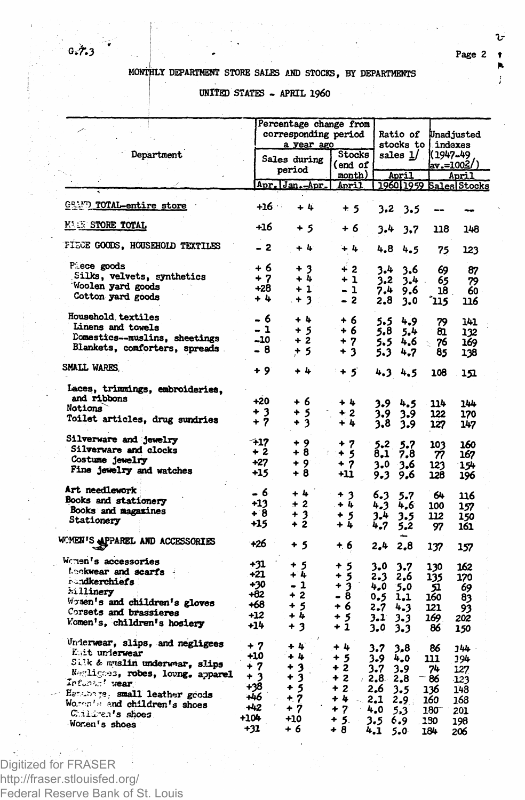υ

## MONTHLY DEPARTMENT STORE SALES AND STOCKS, BY DEPARTMENTS

UNITED STATES - APRIL 1960

|                                                                                                                                                                                                                                                  |                                                                 | Percentage change from<br>corresponding period<br>a year ago       |                                                                        |                                                                       | Ratio of<br>stocks to                                                    |                                                            | Unadjusted<br>indexes                                        |  |  |
|--------------------------------------------------------------------------------------------------------------------------------------------------------------------------------------------------------------------------------------------------|-----------------------------------------------------------------|--------------------------------------------------------------------|------------------------------------------------------------------------|-----------------------------------------------------------------------|--------------------------------------------------------------------------|------------------------------------------------------------|--------------------------------------------------------------|--|--|
| Department                                                                                                                                                                                                                                       |                                                                 | Sales during<br>period                                             |                                                                        | sales $1/$                                                            |                                                                          | 1(1947-49<br>(/av.=1002                                    |                                                              |  |  |
|                                                                                                                                                                                                                                                  |                                                                 | Apr. Jan. Apr.                                                     | month)<br><u>Anril</u>                                                 |                                                                       | April                                                                    |                                                            | April<br>1960 1959 Sales Stocks                              |  |  |
| GRAMM TOTAL-entire store                                                                                                                                                                                                                         | +16                                                             | $+11$                                                              | $+5$                                                                   | 3.2                                                                   | 3.5                                                                      |                                                            |                                                              |  |  |
| <b>MAIN STORE TOTAL</b>                                                                                                                                                                                                                          | +16                                                             | + 5                                                                | + 6                                                                    | 3.4                                                                   | 3.7                                                                      | 118                                                        | 148                                                          |  |  |
| FIECE GOODS, HOUSEHOLD TEXTILES                                                                                                                                                                                                                  | $-2$                                                            | ÷ 4:                                                               | $+4$                                                                   | 4.8                                                                   | 4.5                                                                      | 75                                                         | 123                                                          |  |  |
| Piece goods<br>Silks, velvets, synthetics<br>Woolen yard goods<br>Cotton yard goods                                                                                                                                                              | + 6<br>$+7$<br>$+28$<br>$+4$                                    | $+3$<br>+ 4<br>$+1$<br>$+3$ :                                      | $+2$<br>$+1$<br>- 1<br>- 2                                             | 3.4<br>3.2<br>7.4<br>2,8                                              | 3.6<br>3.4<br>$\sim$<br>9.6<br>3.0                                       | 69<br>65<br>18<br>ຳ15                                      | 87<br>79<br>60<br>116                                        |  |  |
| Household, textiles<br>Linens and towels<br>Domestics--muslins, sheetings<br>Blankets, comforters, spreads.                                                                                                                                      | - 6<br>- 1<br>-10<br>- 8                                        | $+4$<br>+ 5<br>$+2$<br>+ 5                                         | $+6$<br>+ 6<br>+ 7<br>+ 3                                              | 5.5<br>5.8<br>5.5<br>5.3                                              | 4.9<br>5.4<br>4.6<br>4.7                                                 | 79<br>81<br>76<br>85                                       | 141<br>132<br>169<br>138                                     |  |  |
| SMALL WARES.                                                                                                                                                                                                                                     | + 9                                                             | + 4                                                                | $+5$                                                                   | 4.3 4.5                                                               |                                                                          | 108                                                        | 151                                                          |  |  |
| Laces, trimmings, embroideries.<br>and ribbons<br>Notions<br>Toilet articles, drug sundries                                                                                                                                                      | $+20$<br>$\frac{+3}{+7}$                                        | + 6<br>$\ddot{}$<br>5<br>$+3$                                      | + 4<br>+ 2<br>+4                                                       | 3.9<br>3.9<br>3.8                                                     | 4.5<br>3.9<br>3.9                                                        | 114<br>122<br>127                                          | 144<br>170<br>147                                            |  |  |
| Silverware and jewelry<br>Silverware and clocks<br>Costume jewelry<br>Fine jewelry and watches                                                                                                                                                   | $-17$<br>+ 2<br>$+27$<br>+15                                    | + 9<br>+ 8<br>+ 9<br>+ 8                                           | + 7<br>+ 5<br>$+7$<br>$+11$                                            | 5.2<br>$\mathbf{8.1}$<br>3.0<br>9.3                                   | 5.7<br>7.8<br>-3.6<br>9.6                                                | 103<br>77<br>123<br>128                                    | 160<br>167<br>154<br>196                                     |  |  |
| Art needlework<br>Books and stationery<br>Books and magazines<br>Stationery                                                                                                                                                                      | - 6<br>$+13$<br>+8<br>+15                                       | $+4$<br>$+2$<br>+ 3<br>+ 2                                         | $+3$<br>$+1$<br>$+5$<br>+4                                             | 6.3<br>4.3<br>$3 - 4$<br>4,7                                          | 5.7<br>4,6<br>3.5<br>5,2                                                 | 64<br>100<br>112<br>97                                     | 116<br>157<br>150<br>161                                     |  |  |
| WOMEN'S APPAREL AND ACCESSORIES                                                                                                                                                                                                                  | +26                                                             | + 5                                                                | + 6                                                                    | 2,4                                                                   | 2.8                                                                      | 137                                                        | 157                                                          |  |  |
| Women's accessories<br>Lockwear and scarfs<br><b>i</b> andkerchiefs<br>hillinery<br>Women's and children's gloves<br>Corsets and brassieres<br>Women's, children's hosiery                                                                       | +31<br>$+21$<br>+30<br>$+82$<br>+68<br>+12<br>$+14$             | + 5<br>+ 4<br>- 1<br>$+2$<br>$+5$<br>+ 4<br>$+3$                   | + 5<br>+ 5<br>$+3$<br>- 8<br>+ 6<br>۰<br>-5<br>+ 1                     | 3.0<br>2,3<br>4,0<br>0.5<br>2.7<br>3.1<br>3.0                         | 3.7<br>2.6<br>5,0<br>1.1<br>4.3<br>3.3<br>3.3                            | 130<br>135<br>51<br>160<br>121<br>169<br>86                | 162<br>170<br>69<br>83<br>93<br>202<br>150                   |  |  |
| Underwear, slips, and negligees<br>Kuit underwear<br>Silk & muslin underwar, slips<br>Negligoes, robes, loung, apparel<br>Infants' wear<br>Hetchings, small leather goods<br>Worden's and children's shoes<br>Children's shoes.<br>Women's shoes | $+7$<br>+10<br>+ 7<br>+ 3<br>+38<br>+46<br>+42<br>+104<br>$+31$ | + 4<br>$+4$<br>$+3$<br>3<br>۰<br>$+5$<br>$+7$<br>+ 7<br>+10<br>+ 6 | $+1$<br>+ 5<br>$+2$<br>$+2$<br>$+2$ .<br>$+4$<br>$+7$<br>$+5.$<br>$+8$ | 3.7<br>3.9<br>3.7<br>$-2.8$<br>2.6<br>$\sim$ 2.1<br>4,0<br>3.5<br>4.1 | 3,8<br>4.0<br>3.9<br>2.8<br>3.5<br>2.9 <sub>1</sub><br>5,3<br>6.9<br>5.0 | 86<br>111<br>74<br>- 86<br>136<br>160<br>180<br>130<br>184 | 144<br>194<br>127<br>-123<br>148<br>168<br>201<br>198<br>206 |  |  |

Digitized for FRASER http://fraser.stlouisfed.org/ Federal Reserve Bank of St. Louis

## $6.7.3$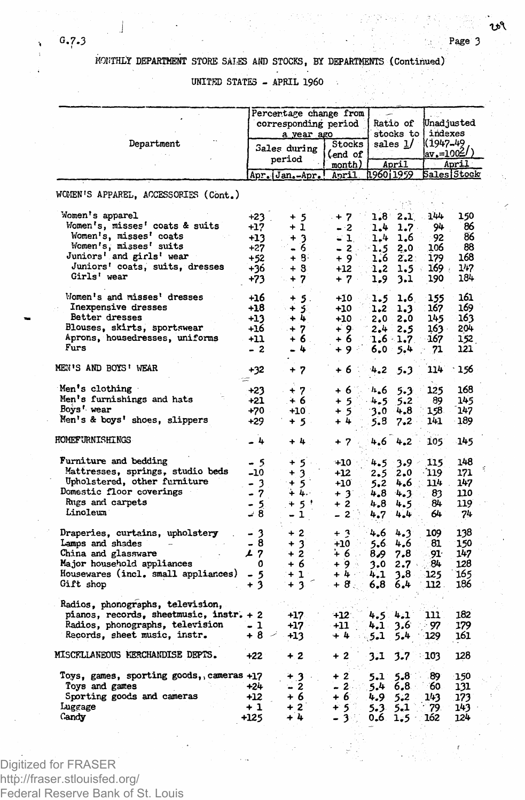**J -**

# **MONTHLY DEPARTMENT STORE SALES AND STOCKS, BY DEPARTMENTS (Continued)**

**UNITED STATES - APRIL I960 .**

|                                          |       | Percentage change from        |              |                |               |          |                   |
|------------------------------------------|-------|-------------------------------|--------------|----------------|---------------|----------|-------------------|
|                                          |       |                               |              |                | Ratio of      |          |                   |
|                                          |       | corresponding period          |              |                |               |          | Unadjusted        |
|                                          |       | a year ago                    |              |                | stocks to     |          | indexes           |
| Department                               |       | Sales during                  | Stocks       |                | sales 1/      | (1947–49 |                   |
|                                          |       | period                        | (end of      |                |               |          | <u>  av.=1002</u> |
|                                          |       |                               |              | month)         | April         |          | April             |
|                                          |       | <u>Apr. Jan.-Apr.</u>         | April.       | 11960i1959     |               |          | Sales Stock       |
|                                          |       |                               |              |                |               |          |                   |
| WOMEN'S APPAREL, ACCESSORIES (Cont.)     |       |                               |              |                |               |          |                   |
|                                          |       |                               |              |                |               |          |                   |
| Women's apparel                          | $+23$ | $+5$                          | $+7$         |                | $1.8 \t2.1$   | 144      | 150               |
| Women's, misses' coats & suits           | $+17$ | $+1$                          | $-2$         | 1.4            | $1.7 -$       | 94       | 86                |
| Women's, misses' coats                   | +13   | + 3                           | - 1.         | 1.4            | 1.6           | 92       | 86                |
| Women's, misses' suits                   | $+27$ | - 6                           | $-2$ .       | -1.5           | 2.0           | 106      | 88                |
| Juniors' and girls' wear                 | $+52$ | $+8$                          | $+9$         | 1.6            | 2.2           | 179      | 168               |
| Juniors' coats, suits, dresses           | +36   | $+8$                          | +12          | 1.2            | $1.5 -$       | $169 +$  | 147               |
| Girls' wear                              | +73   | $+7$                          | $+7$ .       | 1.9            | 3.1           | 190      | 184               |
|                                          |       |                               |              |                |               |          |                   |
| Women's and misses' dresses              | +16   | $+5.$                         | +10          | 1.5            | 1.6           | 155      | 161               |
| Inexpensive dresses                      | +18   | $+5$                          | +10          | 1.2            | 1.3           | 167      | 169               |
| Better dresses                           | $+13$ | $+4$                          | $+10$        | 2.0            | 2.0           | 145      | 163               |
| Blouses, skirts, sportswear              | +16   | $+7$                          | ∔ 9∶         | 2.4            | 2.5           | 163 -    | 204               |
| Aprons, housedresses, uniforms           | +11   | +6.                           | + 6          | $1.6 -$        | 1.7.          | 167      | 152               |
| Furs                                     | - 2   | $-4$                          | +9 ⊹         | 6.0            | 5.4           | 71       | 121               |
| MEN'S AND BOYS' WEAR                     | +32   | $+7$                          | + 6          | 4,2            | 5.3           | 114      | 156               |
|                                          | w     |                               |              |                |               |          |                   |
| Men's clothing                           | +23   | $+7$                          | $+6^{\circ}$ | $n_{\bullet}6$ | 5.3           | 125      | 168               |
| Men's furnishings and hats               | +21   | $+6$                          | $+5$         | 4.5            | 5.2           | 89       | 145               |
| Boys' wear                               | $+70$ | $+10$ .                       | $+5$         | 3.0            | 4,8           | 158.     | 147               |
| Men's & boys' shoes, slippers            | +29   |                               | + 4          |                |               | 141      | 189               |
|                                          |       | $+5$ .                        |              | 5.8            | 7.2           |          |                   |
| HOMEFURNISHINGS                          | - 4   | + 4                           | + 7          |                | 4.6 4.2       | 105      | 145               |
| Furniture and bedding                    | - 5   | $+5$                          | $+10$        | 4.5            | $3.9 -$       | 115      | 148               |
| Mattresses, springs, studio beds         |       |                               |              |                |               |          |                   |
|                                          | -10   | 3<br>÷                        | +12          | 2.5            | 2.0           | $-119$   | 171               |
| Upholstered, other furniture             | - 3   | -5<br>+                       | $+10$        | 5.2            | $4.6 - 114$   |          | 147               |
| Domestic floor coverings                 | - 7   | $+4.$                         | $+3$         | 4.8            | 4.3           | 83       | 110               |
| Rugs and carpets                         | - 5   | $5^+$<br>4                    | + 2          | 4.8            | 4.5           | 84       | 119               |
| Linoleum                                 | ة بـ  | 1<br>$\overline{\phantom{0}}$ | - 2          | 4.7            | 4.4           | 64       | 74                |
|                                          | - 3   | $+2$                          | $+3$         |                |               |          | 138               |
| Draperies, curtains, upholstery          |       |                               |              | 4,6            | 4.3           | 109      |                   |
| Lamps and shades                         | - 8   | $+3$                          | $+10$        | 5.6            | 4.6           | 81       | 150               |
| China and glassware                      | 17    | $+2$                          | + 6          | 8.9            | 7.8           | 91.      | 147               |
| Major household appliances               | 0     | + 6                           | $+9$         | 3.0            | $2.7^{\circ}$ | 84       | 128               |
| Housewares (incl. small appliances)      | - 5   | $+1$                          | $+4.$        | 4.1            | 3.8           | 125      | 165               |
| Gift shop                                | $+3$  | $+3$                          | $+8.$        | 6,8            | 6,4           | 112.     | 186               |
| Radios, phonographs, television,         |       |                               |              |                |               |          |                   |
| pianos, records, sheetmusic, instr. + 2  |       | $+17$                         | $+12$        | 4.5.           | 4.1           | 111      | 182               |
| Radios, phonographs, television          | - 1   | +17                           | +11          | 4.1            | 3.6           | - 97     | 179               |
| Records, sheet music, instr.             | + 8   | +13                           | $+4$         | 5.1            | 5.4           | 129      | 161               |
| MISCELLANEOUS MERCHANDISE DEPTS.         | $+22$ | + 2                           | + 2          | 3.1            | 3.7           | - 103    | 128               |
| Toys, games, sporting goods, cameras +17 |       | $+3$<br>٠.                    | $+2$         | 5,1            | 5.8           | 89       | 150               |
| Toys and games                           | $+24$ | - 2                           | $-2$         | 5.4            | 6,8           | - 60     | 131               |
|                                          |       | + 6                           |              |                |               |          |                   |
| Sporting goods and cameras               | +12   |                               | $+6$         | 4.9            | 5,2           | 143      | 173               |
| Luggage                                  | + 1   | $+2$                          | $+5$         | 5.3            | 5.1           | 79.      | 143               |
| Candy                                    | +125  | +4                            | $-3$         | $0,6$ .        | 1.5           | 162      | 124               |

Digitized for FRASER http://fraser.stlouisfed.org/ Federal Reserve Bank of St. Louis